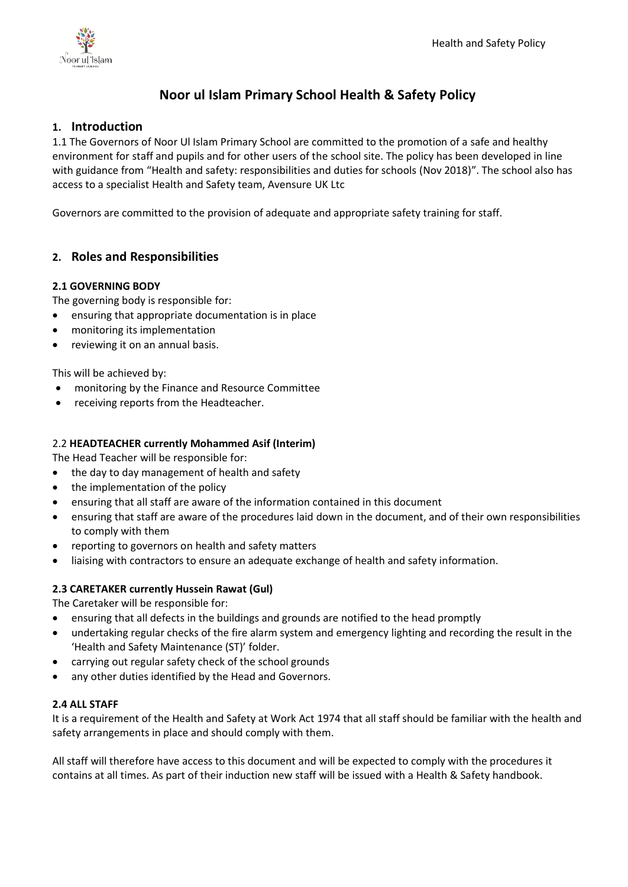

# **Noor ul Islam Primary School Health & Safety Policy**

## **1. Introduction**

1.1 The Governors of Noor Ul Islam Primary School are committed to the promotion of a safe and healthy environment for staff and pupils and for other users of the school site. The policy has been developed in line with guidance from "Health and safety: responsibilities and duties for schools (Nov 2018)". The school also has access to a specialist Health and Safety team, Avensure UK Ltc

Governors are committed to the provision of adequate and appropriate safety training for staff.

## **2. Roles and Responsibilities**

### **2.1 GOVERNING BODY**

The governing body is responsible for:

- ensuring that appropriate documentation is in place
- monitoring its implementation
- reviewing it on an annual basis.

This will be achieved by:

- monitoring by the Finance and Resource Committee
- receiving reports from the Headteacher.

### 2.2 **HEADTEACHER currently Mohammed Asif (Interim)**

The Head Teacher will be responsible for:

- the day to day management of health and safety
- the implementation of the policy
- ensuring that all staff are aware of the information contained in this document
- ensuring that staff are aware of the procedures laid down in the document, and of their own responsibilities to comply with them
- reporting to governors on health and safety matters
- liaising with contractors to ensure an adequate exchange of health and safety information.

#### **2.3 CARETAKER currently Hussein Rawat (Gul)**

The Caretaker will be responsible for:

- ensuring that all defects in the buildings and grounds are notified to the head promptly
- undertaking regular checks of the fire alarm system and emergency lighting and recording the result in the 'Health and Safety Maintenance (ST)' folder.
- carrying out regular safety check of the school grounds
- any other duties identified by the Head and Governors.

#### **2.4 ALL STAFF**

It is a requirement of the Health and Safety at Work Act 1974 that all staff should be familiar with the health and safety arrangements in place and should comply with them.

All staff will therefore have access to this document and will be expected to comply with the procedures it contains at all times. As part of their induction new staff will be issued with a Health & Safety handbook.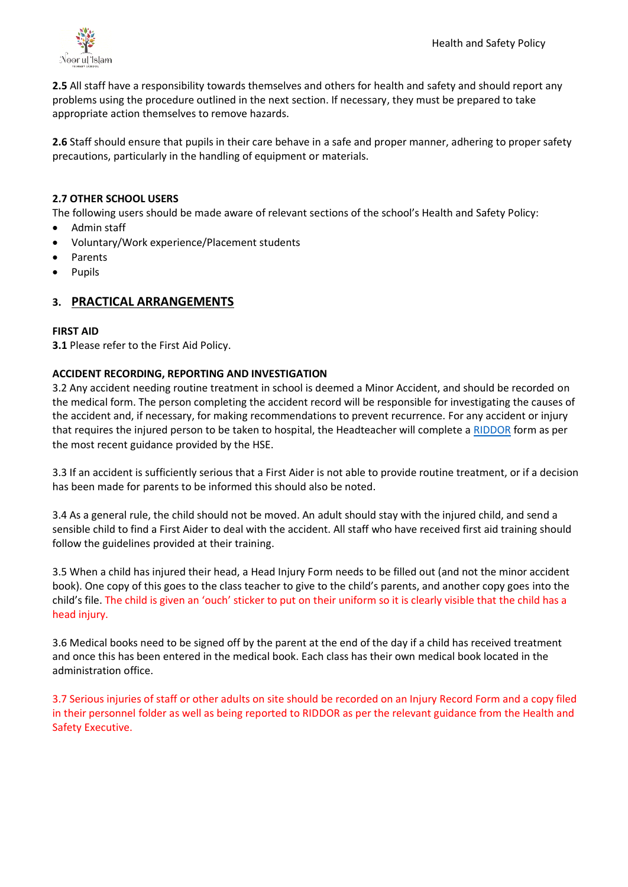

**2.5** All staff have a responsibility towards themselves and others for health and safety and should report any problems using the procedure outlined in the next section. If necessary, they must be prepared to take appropriate action themselves to remove hazards.

**2.6** Staff should ensure that pupils in their care behave in a safe and proper manner, adhering to proper safety precautions, particularly in the handling of equipment or materials.

### **2.7 OTHER SCHOOL USERS**

The following users should be made aware of relevant sections of the school's Health and Safety Policy:

- Admin staff
- Voluntary/Work experience/Placement students
- Parents
- Pupils

## **3. PRACTICAL ARRANGEMENTS**

#### **FIRST AID**

**3.1** Please refer to the First Aid Policy.

#### **ACCIDENT RECORDING, REPORTING AND INVESTIGATION**

3.2 Any accident needing routine treatment in school is deemed a Minor Accident, and should be recorded on the medical form. The person completing the accident record will be responsible for investigating the causes of the accident and, if necessary, for making recommendations to prevent recurrence. For any accident or injury that requires the injured person to be taken to hospital, the Headteacher will complete a [RIDDOR](https://notifications.hse.gov.uk/riddorforms/Injury) form as per the most recent guidance provided by the HSE.

3.3 If an accident is sufficiently serious that a First Aider is not able to provide routine treatment, or if a decision has been made for parents to be informed this should also be noted.

3.4 As a general rule, the child should not be moved. An adult should stay with the injured child, and send a sensible child to find a First Aider to deal with the accident. All staff who have received first aid training should follow the guidelines provided at their training.

3.5 When a child has injured their head, a Head Injury Form needs to be filled out (and not the minor accident book). One copy of this goes to the class teacher to give to the child's parents, and another copy goes into the child's file. The child is given an 'ouch' sticker to put on their uniform so it is clearly visible that the child has a head injury.

3.6 Medical books need to be signed off by the parent at the end of the day if a child has received treatment and once this has been entered in the medical book. Each class has their own medical book located in the administration office.

3.7 Serious injuries of staff or other adults on site should be recorded on an Injury Record Form and a copy filed in their personnel folder as well as being reported to RIDDOR as per the relevant guidance from the Health and Safety Executive.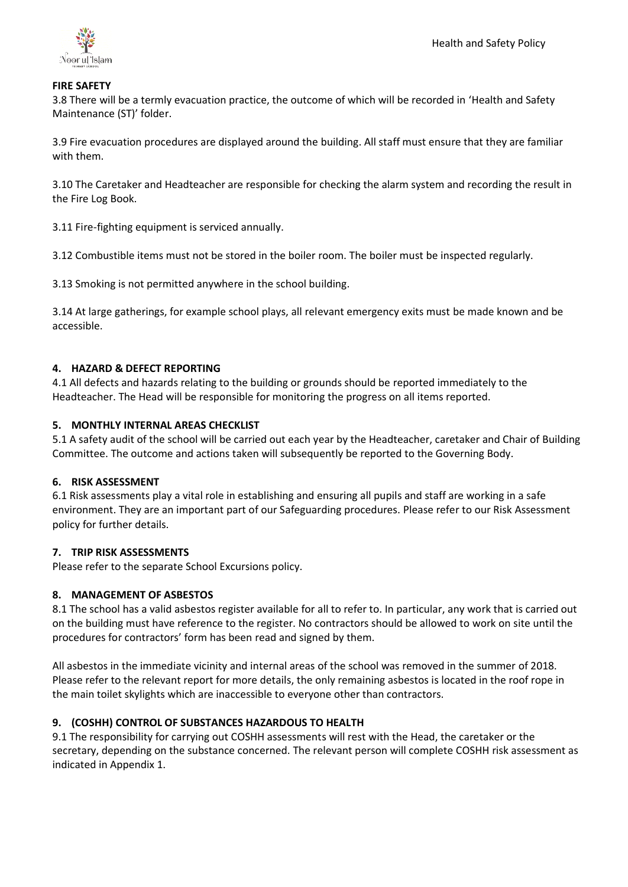

#### **FIRE SAFETY**

3.8 There will be a termly evacuation practice, the outcome of which will be recorded in 'Health and Safety Maintenance (ST)' folder.

3.9 Fire evacuation procedures are displayed around the building. All staff must ensure that they are familiar with them.

3.10 The Caretaker and Headteacher are responsible for checking the alarm system and recording the result in the Fire Log Book.

3.11 Fire-fighting equipment is serviced annually.

3.12 Combustible items must not be stored in the boiler room. The boiler must be inspected regularly.

3.13 Smoking is not permitted anywhere in the school building.

3.14 At large gatherings, for example school plays, all relevant emergency exits must be made known and be accessible.

### **4. HAZARD & DEFECT REPORTING**

4.1 All defects and hazards relating to the building or grounds should be reported immediately to the Headteacher. The Head will be responsible for monitoring the progress on all items reported.

### **5. MONTHLY INTERNAL AREAS CHECKLIST**

5.1 A safety audit of the school will be carried out each year by the Headteacher, caretaker and Chair of Building Committee. The outcome and actions taken will subsequently be reported to the Governing Body.

#### **6. RISK ASSESSMENT**

6.1 Risk assessments play a vital role in establishing and ensuring all pupils and staff are working in a safe environment. They are an important part of our Safeguarding procedures. Please refer to our Risk Assessment policy for further details.

#### **7. TRIP RISK ASSESSMENTS**

Please refer to the separate School Excursions policy.

## **8. MANAGEMENT OF ASBESTOS**

8.1 The school has a valid asbestos register available for all to refer to. In particular, any work that is carried out on the building must have reference to the register. No contractors should be allowed to work on site until the procedures for contractors' form has been read and signed by them.

All asbestos in the immediate vicinity and internal areas of the school was removed in the summer of 2018. Please refer to the relevant report for more details, the only remaining asbestos is located in the roof rope in the main toilet skylights which are inaccessible to everyone other than contractors.

## **9. (COSHH) CONTROL OF SUBSTANCES HAZARDOUS TO HEALTH**

9.1 The responsibility for carrying out COSHH assessments will rest with the Head, the caretaker or the secretary, depending on the substance concerned. The relevant person will complete COSHH risk assessment as indicated in Appendix 1.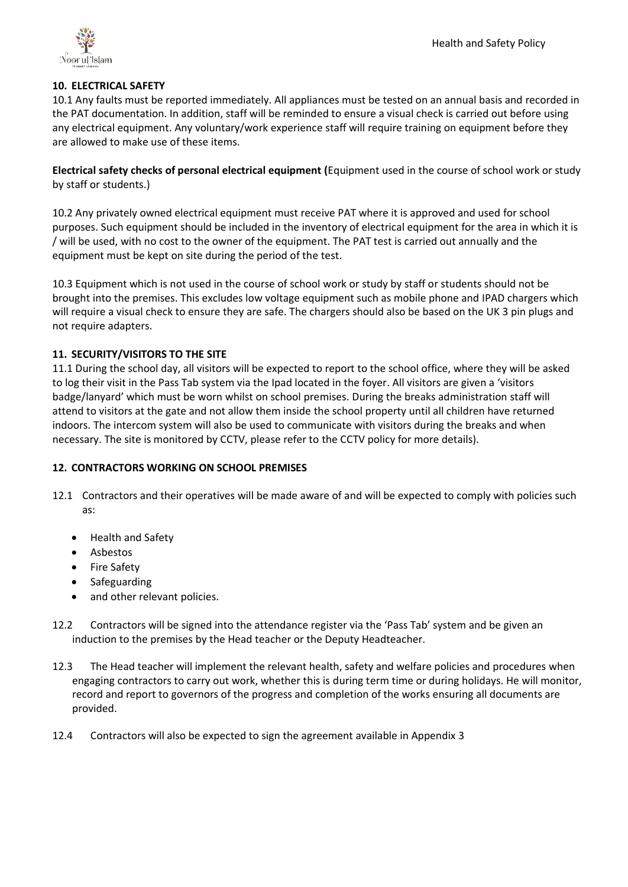

### **10. ELECTRICAL SAFETY**

10.1 Any faults must be reported immediately. All appliances must be tested on an annual basis and recorded in the PAT documentation. In addition, staff will be reminded to ensure a visual check is carried out before using any electrical equipment. Any voluntary/work experience staff will require training on equipment before they are allowed to make use of these items.

**Electrical safety checks of personal electrical equipment (**Equipment used in the course of school work or study by staff or students.)

10.2 Any privately owned electrical equipment must receive PAT where it is approved and used for school purposes. Such equipment should be included in the inventory of electrical equipment for the area in which it is / will be used, with no cost to the owner of the equipment. The PAT test is carried out annually and the equipment must be kept on site during the period of the test.

10.3 Equipment which is not used in the course of school work or study by staff or students should not be brought into the premises. This excludes low voltage equipment such as mobile phone and IPAD chargers which will require a visual check to ensure they are safe. The chargers should also be based on the UK 3 pin plugs and not require adapters.

### **11. SECURITY/VISITORS TO THE SITE**

11.1 During the school day, all visitors will be expected to report to the school office, where they will be asked to log their visit in the Pass Tab system via the Ipad located in the foyer. All visitors are given a 'visitors badge/lanyard' which must be worn whilst on school premises. During the breaks administration staff will attend to visitors at the gate and not allow them inside the school property until all children have returned indoors. The intercom system will also be used to communicate with visitors during the breaks and when necessary. The site is monitored by CCTV, please refer to the CCTV policy for more details).

## **12. CONTRACTORS WORKING ON SCHOOL PREMISES**

- 12.1 Contractors and their operatives will be made aware of and will be expected to comply with policies such as:
	- Health and Safety
	- Asbestos
	- Fire Safety
	- **Safeguarding**
	- and other relevant policies.
- 12.2 Contractors will be signed into the attendance register via the 'Pass Tab' system and be given an induction to the premises by the Head teacher or the Deputy Headteacher.
- 12.3 The Head teacher will implement the relevant health, safety and welfare policies and procedures when engaging contractors to carry out work, whether this is during term time or during holidays. He will monitor, record and report to governors of the progress and completion of the works ensuring all documents are provided.
- 12.4 Contractors will also be expected to sign the agreement available in Appendix 3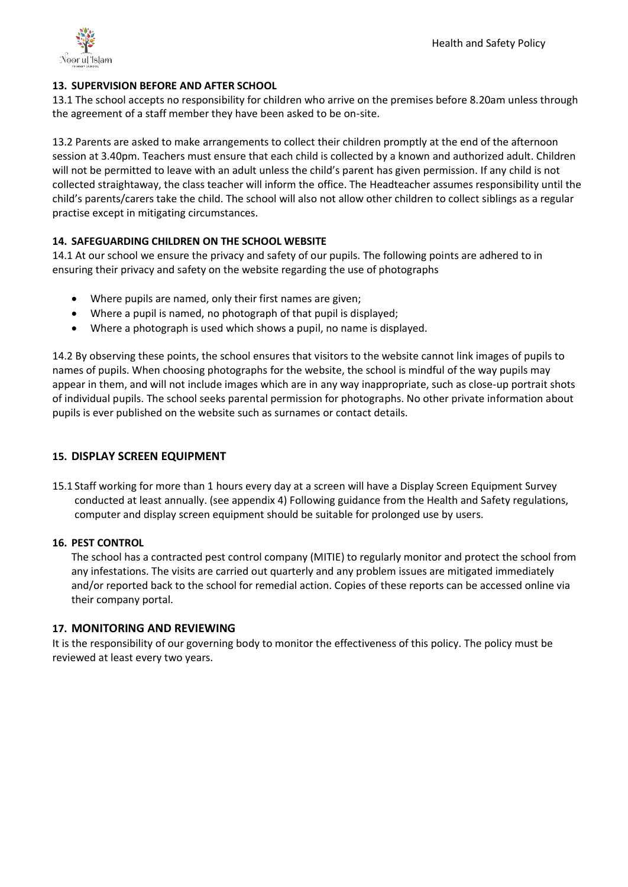

## **13. SUPERVISION BEFORE AND AFTER SCHOOL**

13.1 The school accepts no responsibility for children who arrive on the premises before 8.20am unless through the agreement of a staff member they have been asked to be on-site.

13.2 Parents are asked to make arrangements to collect their children promptly at the end of the afternoon session at 3.40pm. Teachers must ensure that each child is collected by a known and authorized adult. Children will not be permitted to leave with an adult unless the child's parent has given permission. If any child is not collected straightaway, the class teacher will inform the office. The Headteacher assumes responsibility until the child's parents/carers take the child. The school will also not allow other children to collect siblings as a regular practise except in mitigating circumstances.

### **14. SAFEGUARDING CHILDREN ON THE SCHOOL WEBSITE**

14.1 At our school we ensure the privacy and safety of our pupils. The following points are adhered to in ensuring their privacy and safety on the website regarding the use of photographs

- Where pupils are named, only their first names are given;
- Where a pupil is named, no photograph of that pupil is displayed;
- Where a photograph is used which shows a pupil, no name is displayed.

14.2 By observing these points, the school ensures that visitors to the website cannot link images of pupils to names of pupils. When choosing photographs for the website, the school is mindful of the way pupils may appear in them, and will not include images which are in any way inappropriate, such as close-up portrait shots of individual pupils. The school seeks parental permission for photographs. No other private information about pupils is ever published on the website such as surnames or contact details.

## **15. DISPLAY SCREEN EQUIPMENT**

15.1 Staff working for more than 1 hours every day at a screen will have a Display Screen Equipment Survey conducted at least annually. (see appendix 4) Following guidance from the Health and Safety regulations, computer and display screen equipment should be suitable for prolonged use by users.

#### **16. PEST CONTROL**

The school has a contracted pest control company (MITIE) to regularly monitor and protect the school from any infestations. The visits are carried out quarterly and any problem issues are mitigated immediately and/or reported back to the school for remedial action. Copies of these reports can be accessed online via their company portal.

#### **17. MONITORING AND REVIEWING**

It is the responsibility of our governing body to monitor the effectiveness of this policy. The policy must be reviewed at least every two years.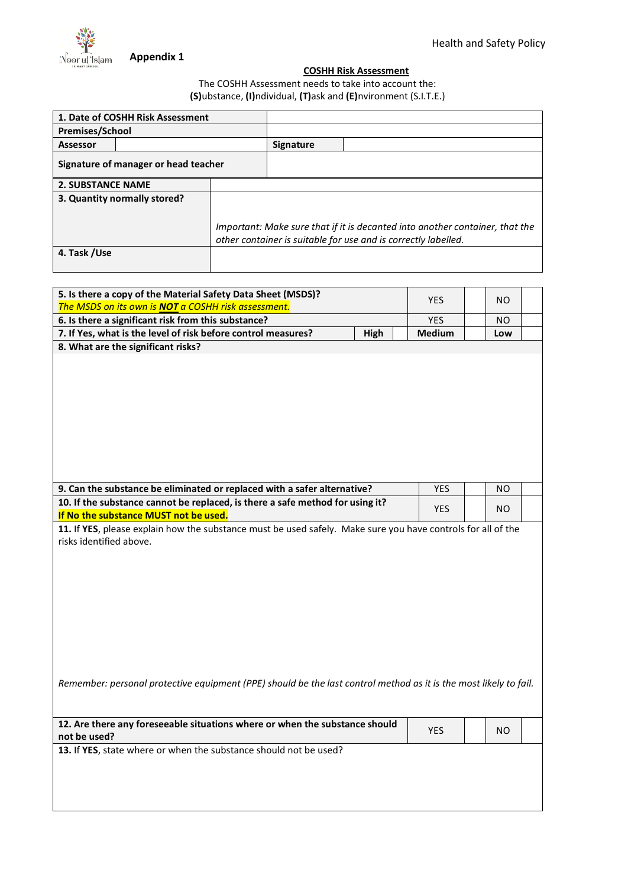

 $\overline{\phantom{a}}$ 

#### **COSHH Risk Assessment**

### The COSHH Assessment needs to take into account the: **(S)**ubstance, **(I)**ndividual, **(T)**ask and **(E)**nvironment (S.I.T.E.)

|                              | 1. Date of COSHH Risk Assessment     |                                                                                                                                                |                  |  |
|------------------------------|--------------------------------------|------------------------------------------------------------------------------------------------------------------------------------------------|------------------|--|
| <b>Premises/School</b>       |                                      |                                                                                                                                                |                  |  |
| <b>Assessor</b>              |                                      |                                                                                                                                                | <b>Signature</b> |  |
|                              | Signature of manager or head teacher |                                                                                                                                                |                  |  |
| <b>2. SUBSTANCE NAME</b>     |                                      |                                                                                                                                                |                  |  |
| 3. Quantity normally stored? |                                      |                                                                                                                                                |                  |  |
|                              |                                      |                                                                                                                                                |                  |  |
|                              |                                      | Important: Make sure that if it is decanted into another container, that the<br>other container is suitable for use and is correctly labelled. |                  |  |
| 4. Task /Use                 |                                      |                                                                                                                                                |                  |  |
|                              |                                      |                                                                                                                                                |                  |  |

| 5. Is there a copy of the Material Safety Data Sheet (MSDS)?                                                                            | <b>YES</b> | <b>NO</b> |  |
|-----------------------------------------------------------------------------------------------------------------------------------------|------------|-----------|--|
| The MSDS on its own is NOT a COSHH risk assessment.                                                                                     |            |           |  |
| 6. Is there a significant risk from this substance?                                                                                     | <b>YES</b> | NO        |  |
| 7. If Yes, what is the level of risk before control measures?<br>High                                                                   | Medium     | Low       |  |
| 8. What are the significant risks?                                                                                                      |            |           |  |
| 9. Can the substance be eliminated or replaced with a safer alternative?                                                                | <b>YES</b> | NO.       |  |
| 10. If the substance cannot be replaced, is there a safe method for using it?<br>If No the substance MUST not be used.                  | <b>YES</b> | NO.       |  |
| 11. If YES, please explain how the substance must be used safely. Make sure you have controls for all of the<br>risks identified above. |            |           |  |
| Remember: personal protective equipment (PPE) should be the last control method as it is the most likely to fail.                       |            |           |  |
| 12. Are there any foreseeable situations where or when the substance should<br>not be used?                                             | <b>YES</b> | NO.       |  |
| 13. If YES, state where or when the substance should not be used?                                                                       |            |           |  |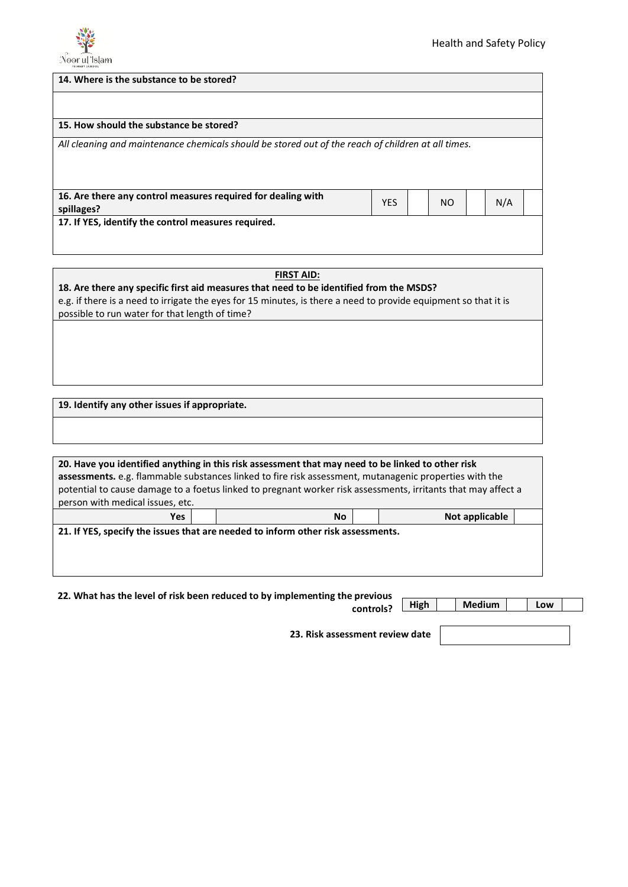

| 14. Where is the substance to be stored?                                                           |            |  |     |  |     |  |
|----------------------------------------------------------------------------------------------------|------------|--|-----|--|-----|--|
|                                                                                                    |            |  |     |  |     |  |
| 15. How should the substance be stored?                                                            |            |  |     |  |     |  |
| All cleaning and maintenance chemicals should be stored out of the reach of children at all times. |            |  |     |  |     |  |
| 16. Are there any control measures required for dealing with<br>spillages?                         | <b>YES</b> |  | NO. |  | N/A |  |
| 17. If YES, identify the control measures required.                                                |            |  |     |  |     |  |

**22. What has the level of risk been reduced to by implementing the previous controls?**

**High Medium Low**

**23. Risk assessment review date**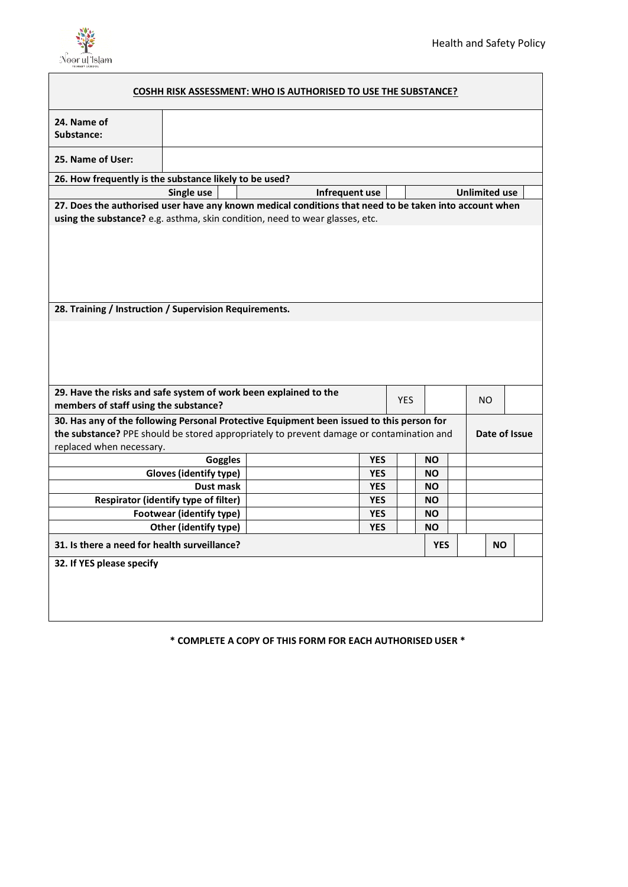

| <b>COSHH RISK ASSESSMENT: WHO IS AUTHORISED TO USE THE SUBSTANCE?</b>                                     |                                 |                |                |            |            |            |                      |               |  |
|-----------------------------------------------------------------------------------------------------------|---------------------------------|----------------|----------------|------------|------------|------------|----------------------|---------------|--|
| 24. Name of<br>Substance:                                                                                 |                                 |                |                |            |            |            |                      |               |  |
| 25. Name of User:                                                                                         |                                 |                |                |            |            |            |                      |               |  |
| 26. How frequently is the substance likely to be used?                                                    |                                 |                |                |            |            |            |                      |               |  |
|                                                                                                           | Single use                      |                | Infrequent use |            |            |            | <b>Unlimited use</b> |               |  |
| 27. Does the authorised user have any known medical conditions that need to be taken into account when    |                                 |                |                |            |            |            |                      |               |  |
| using the substance? e.g. asthma, skin condition, need to wear glasses, etc.                              |                                 |                |                |            |            |            |                      |               |  |
|                                                                                                           |                                 |                |                |            |            |            |                      |               |  |
| 28. Training / Instruction / Supervision Requirements.                                                    |                                 |                |                |            |            |            |                      |               |  |
|                                                                                                           |                                 |                |                |            |            |            |                      |               |  |
| 29. Have the risks and safe system of work been explained to the<br>members of staff using the substance? |                                 |                |                |            | <b>YES</b> |            | NO.                  |               |  |
| 30. Has any of the following Personal Protective Equipment been issued to this person for                 |                                 |                |                |            |            |            |                      |               |  |
| the substance? PPE should be stored appropriately to prevent damage or contamination and                  |                                 |                |                |            |            |            |                      | Date of Issue |  |
| replaced when necessary.                                                                                  |                                 |                |                |            |            |            |                      |               |  |
|                                                                                                           |                                 | <b>Goggles</b> |                | <b>YES</b> |            | NO.        |                      |               |  |
|                                                                                                           | Gloves (identify type)          |                |                | <b>YES</b> |            | <b>NO</b>  |                      |               |  |
|                                                                                                           | Dust mask                       |                |                | <b>YES</b> |            | NO.        |                      |               |  |
| Respirator (identify type of filter)                                                                      |                                 |                |                | <b>YES</b> |            | <b>NO</b>  |                      |               |  |
|                                                                                                           | <b>Footwear (identify type)</b> |                |                | <b>YES</b> |            | <b>NO</b>  |                      |               |  |
|                                                                                                           | Other (identify type)           |                |                | <b>YES</b> |            | ΝO         |                      |               |  |
| 31. Is there a need for health surveillance?                                                              |                                 |                |                |            |            | <b>YES</b> |                      | <b>NO</b>     |  |
| 32. If YES please specify                                                                                 |                                 |                |                |            |            |            |                      |               |  |

**\* COMPLETE A COPY OF THIS FORM FOR EACH AUTHORISED USER \***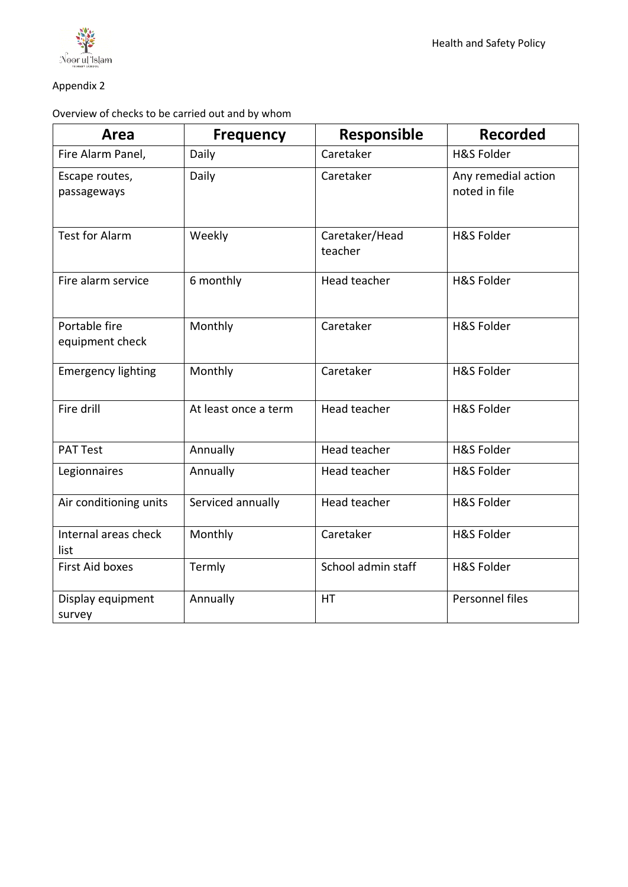

## Appendix 2

Overview of checks to be carried out and by whom

| Area                             | <b>Frequency</b>     | <b>Responsible</b>        | <b>Recorded</b>                      |
|----------------------------------|----------------------|---------------------------|--------------------------------------|
| Fire Alarm Panel,                | Daily                | Caretaker                 | <b>H&amp;S Folder</b>                |
| Escape routes,<br>passageways    | Daily                | Caretaker                 | Any remedial action<br>noted in file |
| <b>Test for Alarm</b>            | Weekly               | Caretaker/Head<br>teacher | <b>H&amp;S Folder</b>                |
| Fire alarm service               | 6 monthly            | Head teacher              | <b>H&amp;S Folder</b>                |
| Portable fire<br>equipment check | Monthly              | Caretaker                 | <b>H&amp;S Folder</b>                |
| <b>Emergency lighting</b>        | Monthly              | Caretaker                 | <b>H&amp;S Folder</b>                |
| Fire drill                       | At least once a term | Head teacher              | H&S Folder                           |
| <b>PAT Test</b>                  | Annually             | Head teacher              | <b>H&amp;S Folder</b>                |
| Legionnaires                     | Annually             | Head teacher              | <b>H&amp;S Folder</b>                |
| Air conditioning units           | Serviced annually    | Head teacher              | <b>H&amp;S Folder</b>                |
| Internal areas check<br>list     | Monthly              | Caretaker                 | <b>H&amp;S Folder</b>                |
| <b>First Aid boxes</b>           | Termly               | School admin staff        | <b>H&amp;S Folder</b>                |
| Display equipment<br>survey      | Annually             | <b>HT</b>                 | Personnel files                      |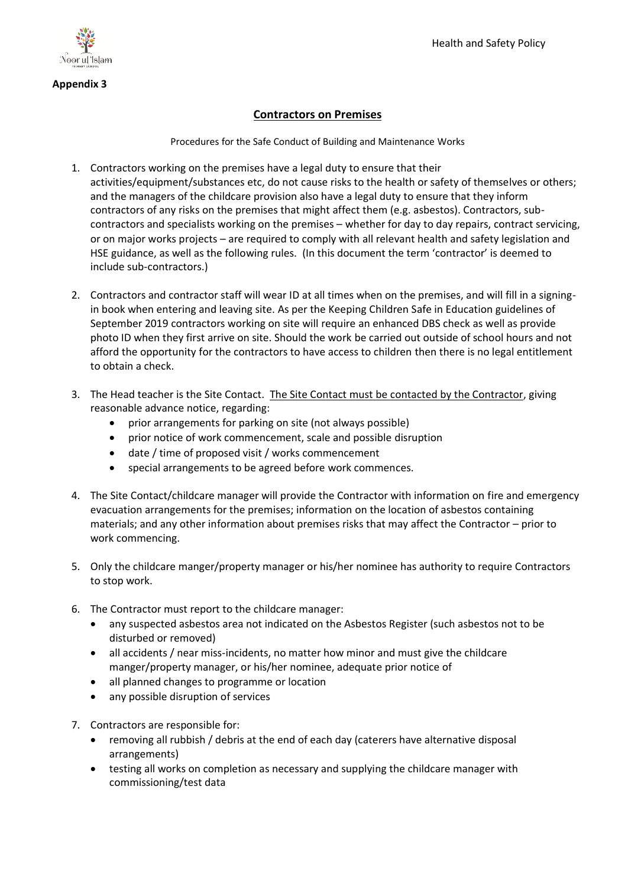

### **Appendix 3**

## **Contractors on Premises**

Procedures for the Safe Conduct of Building and Maintenance Works

- 1. Contractors working on the premises have a legal duty to ensure that their activities/equipment/substances etc, do not cause risks to the health or safety of themselves or others; and the managers of the childcare provision also have a legal duty to ensure that they inform contractors of any risks on the premises that might affect them (e.g. asbestos). Contractors, subcontractors and specialists working on the premises – whether for day to day repairs, contract servicing, or on major works projects – are required to comply with all relevant health and safety legislation and HSE guidance, as well as the following rules. (In this document the term 'contractor' is deemed to include sub-contractors.)
- 2. Contractors and contractor staff will wear ID at all times when on the premises, and will fill in a signingin book when entering and leaving site. As per the Keeping Children Safe in Education guidelines of September 2019 contractors working on site will require an enhanced DBS check as well as provide photo ID when they first arrive on site. Should the work be carried out outside of school hours and not afford the opportunity for the contractors to have access to children then there is no legal entitlement to obtain a check.
- 3. The Head teacher is the Site Contact. The Site Contact must be contacted by the Contractor, giving reasonable advance notice, regarding:
	- prior arrangements for parking on site (not always possible)
	- prior notice of work commencement, scale and possible disruption
	- date / time of proposed visit / works commencement
	- special arrangements to be agreed before work commences.
- 4. The Site Contact/childcare manager will provide the Contractor with information on fire and emergency evacuation arrangements for the premises; information on the location of asbestos containing materials; and any other information about premises risks that may affect the Contractor – prior to work commencing.
- 5. Only the childcare manger/property manager or his/her nominee has authority to require Contractors to stop work.
- 6. The Contractor must report to the childcare manager:
	- any suspected asbestos area not indicated on the Asbestos Register (such asbestos not to be disturbed or removed)
	- all accidents / near miss-incidents, no matter how minor and must give the childcare manger/property manager, or his/her nominee, adequate prior notice of
	- all planned changes to programme or location
	- any possible disruption of services
- 7. Contractors are responsible for:
	- removing all rubbish / debris at the end of each day (caterers have alternative disposal arrangements)
	- testing all works on completion as necessary and supplying the childcare manager with commissioning/test data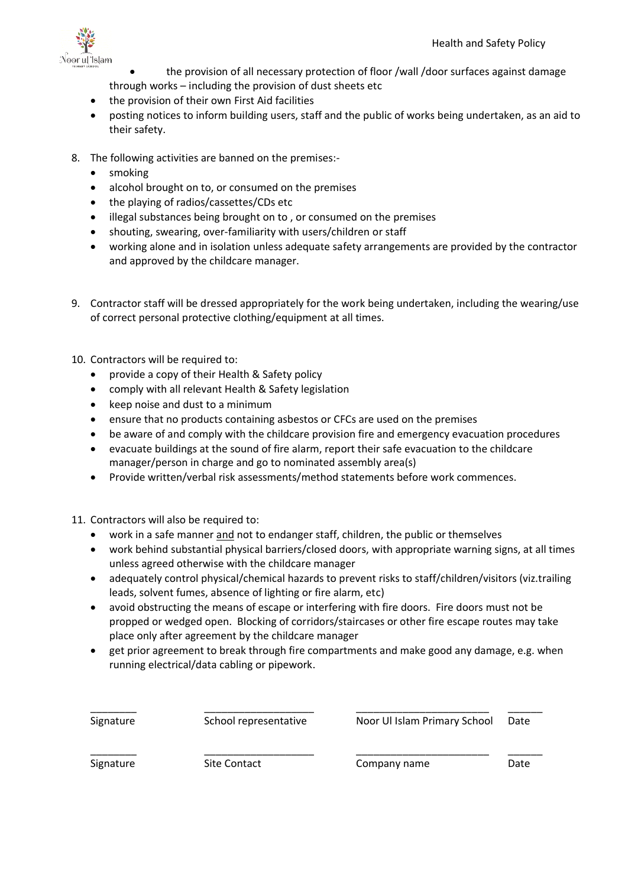

- the provision of all necessary protection of floor /wall /door surfaces against damage through works – including the provision of dust sheets etc
- the provision of their own First Aid facilities
- posting notices to inform building users, staff and the public of works being undertaken, as an aid to their safety.
- 8. The following activities are banned on the premises:-
	- smoking
	- alcohol brought on to, or consumed on the premises
	- the playing of radios/cassettes/CDs etc
	- illegal substances being brought on to, or consumed on the premises
	- shouting, swearing, over-familiarity with users/children or staff
	- working alone and in isolation unless adequate safety arrangements are provided by the contractor and approved by the childcare manager.
- 9. Contractor staff will be dressed appropriately for the work being undertaken, including the wearing/use of correct personal protective clothing/equipment at all times.
- 10. Contractors will be required to:
	- provide a copy of their Health & Safety policy
	- comply with all relevant Health & Safety legislation
	- keep noise and dust to a minimum
	- ensure that no products containing asbestos or CFCs are used on the premises
	- be aware of and comply with the childcare provision fire and emergency evacuation procedures
	- evacuate buildings at the sound of fire alarm, report their safe evacuation to the childcare manager/person in charge and go to nominated assembly area(s)
	- Provide written/verbal risk assessments/method statements before work commences.
- 11. Contractors will also be required to:
	- work in a safe manner and not to endanger staff, children, the public or themselves
	- work behind substantial physical barriers/closed doors, with appropriate warning signs, at all times unless agreed otherwise with the childcare manager
	- adequately control physical/chemical hazards to prevent risks to staff/children/visitors (viz.trailing leads, solvent fumes, absence of lighting or fire alarm, etc)
	- avoid obstructing the means of escape or interfering with fire doors. Fire doors must not be propped or wedged open. Blocking of corridors/staircases or other fire escape routes may take place only after agreement by the childcare manager
	- get prior agreement to break through fire compartments and make good any damage, e.g. when running electrical/data cabling or pipework.

\_\_\_\_\_\_\_\_ \_\_\_\_\_\_\_\_\_\_\_\_\_\_\_\_\_\_\_ \_\_\_\_\_\_\_\_\_\_\_\_\_\_\_\_\_\_\_\_\_\_\_ \_\_\_\_\_\_

| Signature |
|-----------|
|-----------|

\_\_\_\_\_\_\_\_ \_\_\_\_\_\_\_\_\_\_\_\_\_\_\_\_\_\_\_ \_\_\_\_\_\_\_\_\_\_\_\_\_\_\_\_\_\_\_\_\_\_\_ \_\_\_\_\_\_ School representative Noor Ul Islam Primary School Date

Signature Site Contact Company name Date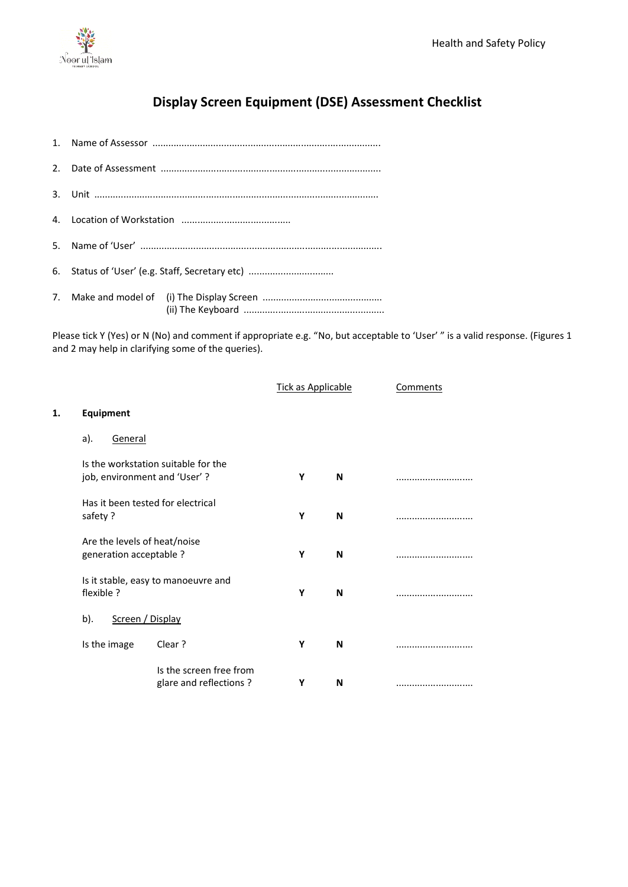

**1. Equipment**

# **Display Screen Equipment (DSE) Assessment Checklist**

| 6. Status of 'User' (e.g. Staff, Secretary etc) |  |  |  |  |  |  |  |
|-------------------------------------------------|--|--|--|--|--|--|--|
|                                                 |  |  |  |  |  |  |  |

Please tick Y (Yes) or N (No) and comment if appropriate e.g. "No, but acceptable to 'User' " is a valid response. (Figures 1 and 2 may help in clarifying some of the queries).

|                                                         |                                                   | <b>Tick as Applicable</b> |   | Comments |
|---------------------------------------------------------|---------------------------------------------------|---------------------------|---|----------|
| Equipment                                               |                                                   |                           |   |          |
| <b>General</b><br>a).                                   |                                                   |                           |   |          |
| job, environment and 'User'?                            | Is the workstation suitable for the               | Υ                         | N |          |
| Has it been tested for electrical<br>safety?            |                                                   | Υ                         | N |          |
| Are the levels of heat/noise<br>generation acceptable ? |                                                   | Υ                         | N |          |
| flexible ?                                              | Is it stable, easy to manoeuvre and               | Υ                         | N |          |
| Screen / Display<br>b).                                 |                                                   |                           |   |          |
| Is the image                                            | Clear?                                            | Υ                         | N |          |
|                                                         | Is the screen free from<br>glare and reflections? | Υ                         | N |          |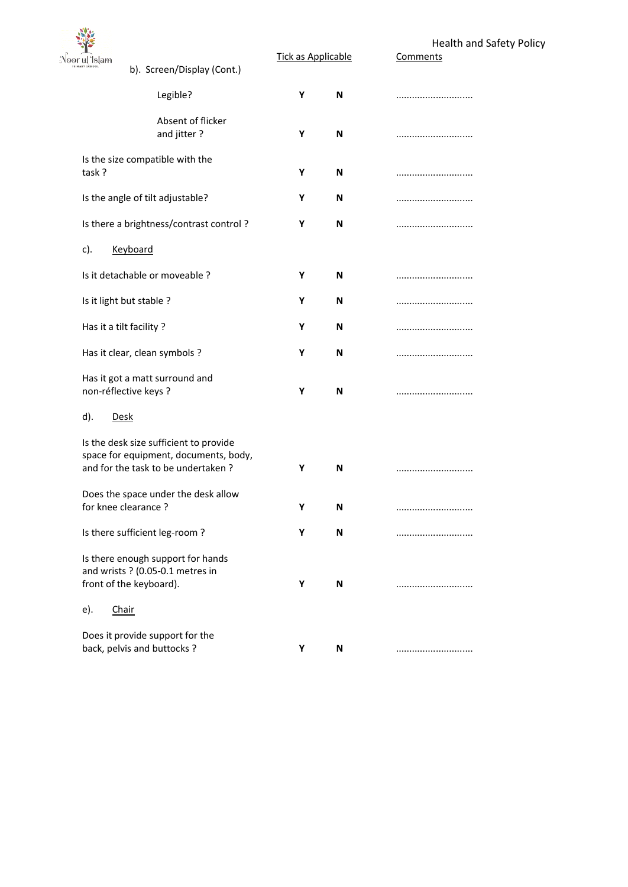

Tick as Applicable

Health and Safety Policy

| °ul Islam          | b). Screen/Display (Cont.)                                                                                            | <u>TICK as Applicable</u> |   | <u>comments</u> |
|--------------------|-----------------------------------------------------------------------------------------------------------------------|---------------------------|---|-----------------|
|                    | Legible?                                                                                                              | Y                         | N |                 |
|                    | Absent of flicker<br>and jitter?                                                                                      | Υ                         | N |                 |
| task?              | Is the size compatible with the                                                                                       | Υ                         | N |                 |
|                    | Is the angle of tilt adjustable?                                                                                      | Υ                         | N |                 |
|                    | Is there a brightness/contrast control?                                                                               | Υ                         | N |                 |
| c).                | <b>Keyboard</b>                                                                                                       |                           |   |                 |
|                    | Is it detachable or moveable ?                                                                                        | Υ                         | N |                 |
|                    | Is it light but stable ?                                                                                              | Υ                         | N |                 |
|                    | Has it a tilt facility?                                                                                               | Υ                         | N |                 |
|                    | Has it clear, clean symbols ?                                                                                         | Υ                         | N |                 |
|                    | Has it got a matt surround and<br>non-réflective keys ?                                                               | Υ                         | N |                 |
| d).<br><u>Desk</u> |                                                                                                                       |                           |   |                 |
|                    | Is the desk size sufficient to provide<br>space for equipment, documents, body,<br>and for the task to be undertaken? | Υ                         | N |                 |
|                    | Does the space under the desk allow<br>for knee clearance?                                                            | Υ                         | N |                 |
|                    | Is there sufficient leg-room?                                                                                         | Υ                         | N |                 |
|                    | Is there enough support for hands<br>and wrists ? (0.05-0.1 metres in<br>front of the keyboard).                      | Υ                         | N |                 |
| e).                | Chair                                                                                                                 |                           |   |                 |
|                    | Does it provide support for the<br>back, pelvis and buttocks ?                                                        | Υ                         | N |                 |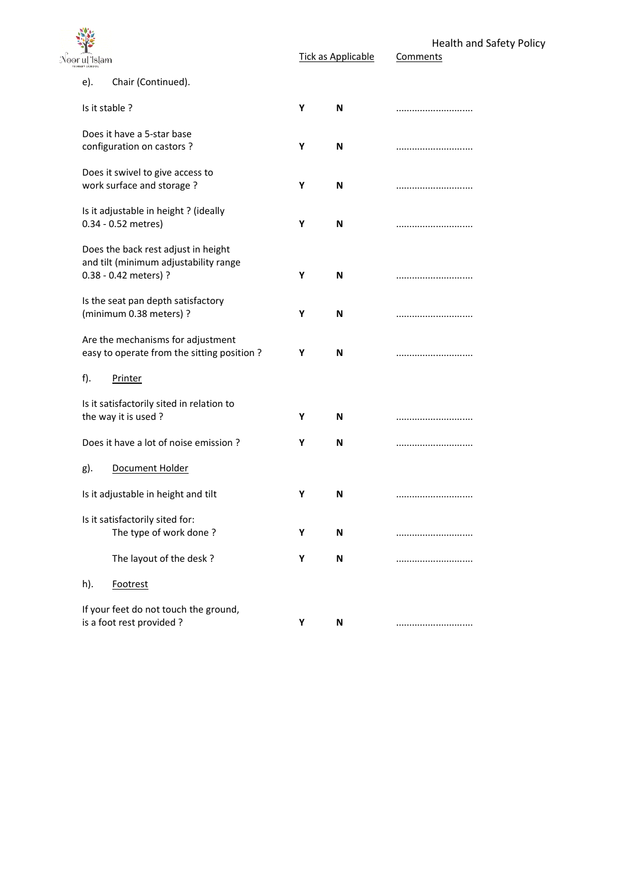| Noor ul Islam                                                                                         |   | <b>Tick as Applicable</b> | Health and Safety Policy<br>Comments |
|-------------------------------------------------------------------------------------------------------|---|---------------------------|--------------------------------------|
| Chair (Continued).<br>e).                                                                             |   |                           |                                      |
| Is it stable ?                                                                                        | Υ | N                         |                                      |
| Does it have a 5-star base<br>configuration on castors ?                                              | Υ | N                         |                                      |
| Does it swivel to give access to<br>work surface and storage?                                         | Υ | N                         |                                      |
| Is it adjustable in height? (ideally<br>0.34 - 0.52 metres)                                           | Y | N                         |                                      |
| Does the back rest adjust in height<br>and tilt (minimum adjustability range<br>0.38 - 0.42 meters) ? | Y | N                         |                                      |
| Is the seat pan depth satisfactory<br>(minimum 0.38 meters) ?                                         | Υ | N                         |                                      |
| Are the mechanisms for adjustment<br>easy to operate from the sitting position?                       | Y | N                         |                                      |
| $f$ ).<br>Printer                                                                                     |   |                           |                                      |
| Is it satisfactorily sited in relation to<br>the way it is used?                                      | Υ | N                         |                                      |
| Does it have a lot of noise emission ?                                                                | Υ | N                         |                                      |
| Document Holder<br>g).                                                                                |   |                           |                                      |
| Is it adjustable in height and tilt                                                                   | Υ | N                         |                                      |
| Is it satisfactorily sited for:<br>The type of work done?                                             | Υ | N                         |                                      |
| The layout of the desk?                                                                               | Υ | N                         |                                      |
| h).<br>Footrest                                                                                       |   |                           |                                      |
| If your feet do not touch the ground,<br>is a foot rest provided?                                     | Υ | N                         |                                      |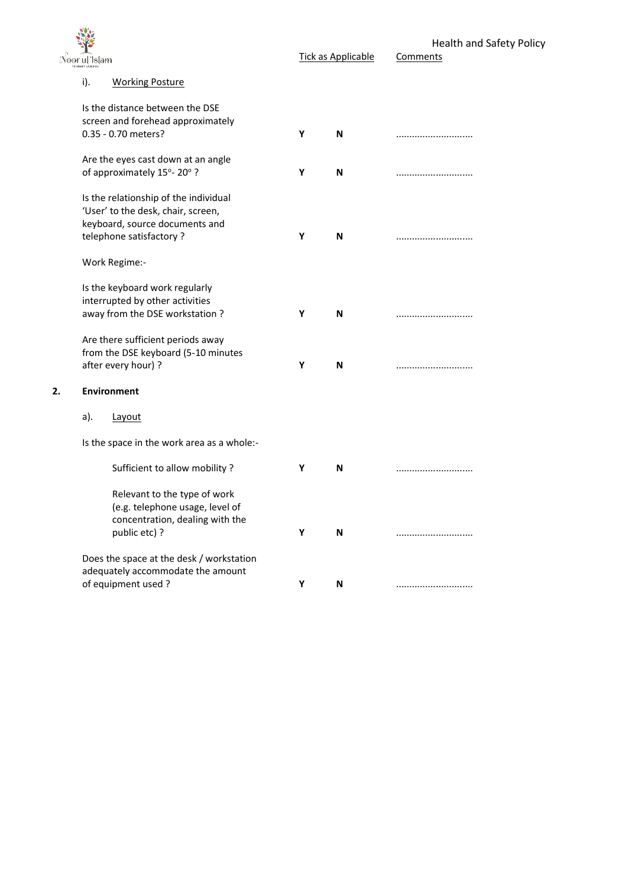|    | Noor ul Islam                                                                                                                                             |   | <b>Tick as Applicable</b> | <b>Health and Safety Policy</b><br>Comments |
|----|-----------------------------------------------------------------------------------------------------------------------------------------------------------|---|---------------------------|---------------------------------------------|
|    | i).<br><b>Working Posture</b>                                                                                                                             |   |                           |                                             |
|    | Is the distance between the DSE<br>screen and forehead approximately<br>0.35 - 0.70 meters?                                                               | Υ | N                         |                                             |
|    | Are the eyes cast down at an angle<br>of approximately 15°-20°?                                                                                           | Υ | N                         |                                             |
|    | Is the relationship of the individual<br>'User' to the desk, chair, screen,<br>keyboard, source documents and<br>telephone satisfactory?<br>Work Regime:- | Υ | N                         |                                             |
|    | Is the keyboard work regularly<br>interrupted by other activities<br>away from the DSE workstation?                                                       | Υ | N                         |                                             |
|    | Are there sufficient periods away<br>from the DSE keyboard (5-10 minutes<br>after every hour) ?                                                           | Υ | N                         |                                             |
| 2. | <b>Environment</b>                                                                                                                                        |   |                           |                                             |
|    | a).<br>Layout                                                                                                                                             |   |                           |                                             |
|    | Is the space in the work area as a whole:-                                                                                                                |   |                           |                                             |
|    | Sufficient to allow mobility ?                                                                                                                            | Υ | N                         |                                             |
|    | Relevant to the type of work<br>(e.g. telephone usage, level of<br>concentration, dealing with the<br>public etc) ?                                       | Y | N                         |                                             |
|    | Does the space at the desk / workstation<br>adequately accommodate the amount<br>of equipment used?                                                       | Υ | N                         |                                             |